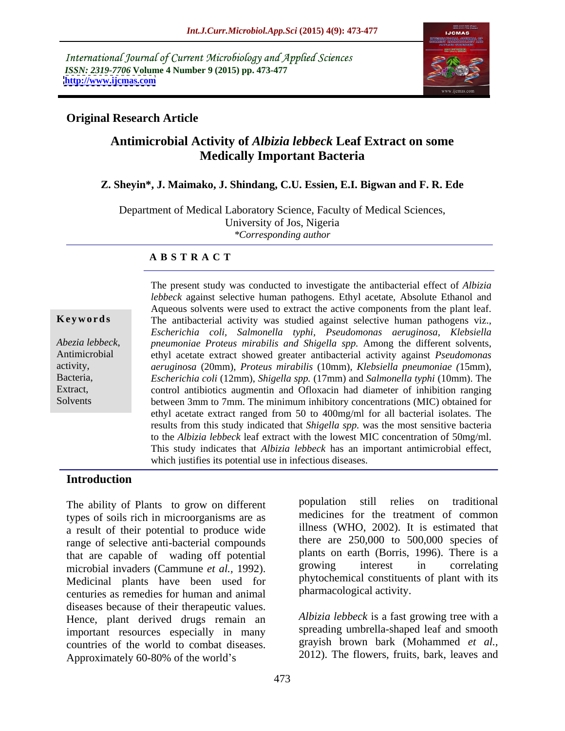International Journal of Current Microbiology and Applied Sciences *ISSN: 2319-7706* **Volume 4 Number 9 (2015) pp. 473-477 <http://www.ijcmas.com>**



# **Original Research Article**

# **Antimicrobial Activity of** *Albizia lebbeck* **Leaf Extract on some Medically Important Bacteria**

### **Z. Sheyin\*, J. Maimako, J. Shindang, C.U. Essien, E.I. Bigwan and F. R. Ede**

Department of Medical Laboratory Science, Faculty of Medical Sciences, University of Jos, Nigeria *\*Corresponding author*

### **A B S T R A C T**

Solvents

The present study was conducted to investigate the antibacterial effect of *Albizia lebbeck* against selective human pathogens. Ethyl acetate, Absolute Ethanol and Aqueous solvents were used to extract the active components from the plant leaf. **Keywords** The antibacterial activity was studied against selective human pathogens viz., *Escherichia coli, Salmonella typhi, Pseudomonas aeruginosa, Klebsiella pneumoniae Proteus mirabilis and Shigella spp.* Among the different solvents, Abezia lebbeck, *pneumoniae Proteus mirabilis and Shigella spp*. Among the different solvents, ethyl acetate extract showed greater antibacterial activity against *Pseudomonas aeruginosa* (20mm), *Proteus mirabilis* (10mm), *Klebsiella pneumoniae (*15mm), activity, *Escherichia coli* (12mm), *Shigella spp.* (17mm) and *Salmonella typhi* (10mm). The Bacteria, Extract, control antibiotics augmentin and Ofloxacin had diameter of inhibition ranging between 3mm to 7mm. The minimum inhibitory concentrations (MIC) obtained for ethyl acetate extract ranged from 50 to 400mg/ml for all bacterial isolates. The results from this study indicated that *Shigella spp.* was the most sensitive bacteria to the *Albizia lebbeck* leaf extract with the lowest MIC concentration of 50mg/ml. This study indicates that *Albizia lebbeck* has an important antimicrobial effect, which justifies its potential use in infectious diseases.

# **Introduction**

types of soils rich in microorganisms are as a result of their potential to produce wide range of selective anti-bacterial compounds that are capable of wading off potential plants on earth (Borris, 1996). There is a<br>microbial invaders (Cammune et al. 1992) sprowing interest in correlating microbial invaders (Cammune *et al.,* 1992). Medicinal plants have been used for centuries as remedies for human and animal diseases because of their therapeutic values. Hence, plant derived drugs remain an important resources especially in many countries of the world to combat diseases. Approximately 60-80% of the world's 2012). The flowers, fruits, bark, leaves and

The ability of Plants to grow on different population still relies on traditional population still relies on traditional medicines for the treatment of common illness (WHO, 2002). It is estimated that there are 250,000 to 500,000 species of plants on earth (Borris, 1996). There is a growing interest in correlating phytochemical constituents of plant with its pharmacological activity.

> *Albizia lebbeck* is a fast growing tree with a spreading umbrella-shaped leaf and smooth grayish brown bark (Mohammed *et al.,* 2012). The flowers, fruits, bark, leaves and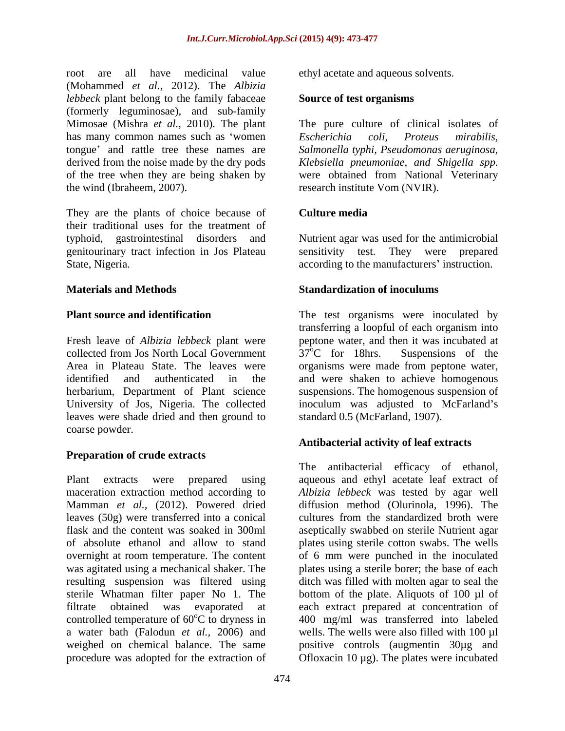root are all have medicinal value ethyl acetate and aqueous solvents. (Mohammed *et al.,* 2012). The *Albizia lebbeck* plant belong to the family fabaceae (formerly leguminosae), and sub-family Mimosae (Mishra *et al.,* 2010). The plant The pure culture of clinical isolates of has many common names such as 'women Escherichia coli, Proteus mirabilis, tongue and rattle tree these names are *Salmonella typhi, Pseudomonas aeruginosa,* derived from the noise made by the dry pods *Klebsiella pneumoniae, and Shigella spp.* of the tree when they are being shaken by were obtained from National Veterinary the wind (Ibraheem, 2007). research institute Vom (NVIR).

They are the plants of choice because of their traditional uses for the treatment of typhoid, gastrointestinal disorders and Nutrient agar was used for the antimicrobial genitourinary tract infection in Jos Plateau

Fresh leave of *Albizia lebbeck* plant were peptone water, and then it was incubated at collected from Jos North Local Government  $37^{\circ}$ C for 18hrs. Suspensions of the Area in Plateau State. The leaves were organisms were made from peptone water, identified and authenticated in the and were shaken to achieve homogenous herbarium, Department of Plant science suspensions. The homogenous suspension of University of Jos, Nigeria. The collected leaves were shade dried and then ground to coarse powder.

# **Preparation of crude extracts**

Plant extracts were prepared using aqueous and ethyl acetate leaf extract of maceration extraction method according to *Albizia lebbeck* was tested by agar well Mamman *et al.,* (2012). Powered dried leaves (50g) were transferred into a conical cultures from the standardized broth were flask and the content was soaked in 300ml aseptically swabbed on sterile Nutrient agar of absolute ethanol and allow to stand plates using sterile cotton swabs. The wells overnight at room temperature. The content of 6 mm were punched in the inoculated was agitated using a mechanical shaker. The plates using a sterile borer; the base of each resulting suspension was filtered using ditch was filled with molten agar to seal the sterile Whatman filter paper No 1. The bottom of the plate. Aliquots of 100 µl of filtrate obtained was evaporated at each extract prepared at concentration of controlled temperature of 60<sup>o</sup>C to dryness in a water bath (Falodun *et al.,* 2006) and wells. The wells were also filled with 100 µl weighed on chemical balance. The same positive controls (augmentin 30µg and procedure was adopted for the extraction of Ofloxacin 10 µg). The plates were incubated

## **Source of test organisms**

*Escherichia coli, Proteus mirabilis,*

# **Culture media**

State, Nigeria. The mass of the manufacturers' instruction. sensitivity test. They were prepared

# **Materials and Methods Standardization of inoculums**

**Plant source and identification** The test organisms were inoculated by transferring a loopful of each organism into  $37^{\circ}$ C for 18hrs. Suspensions of the inoculum was adjusted to McFarland's standard 0.5 (McFarland, 1907).

# **Antibacterial activity of leaf extracts**

oC to dryness in 400 mg/ml was transferred into labeled The antibacterial efficacy of ethanol, diffusion method (Olurinola, 1996). The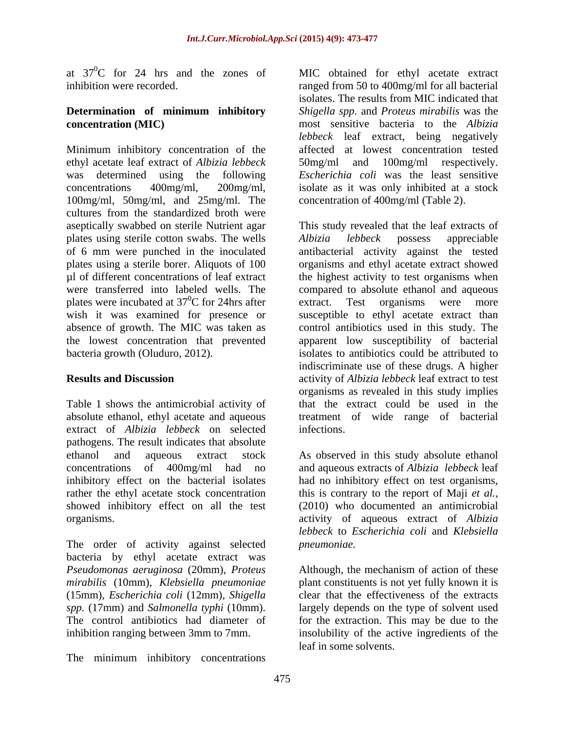at  $37^{\circ}$ C for 24 hrs and the zones of MIC obtained for ethyl acetate extract

# **Determination of minimum inhibitory**

Minimum inhibitory concentration of the affected at lowest concentration tested ethyl acetate leaf extract of *Albizia lebbeck* was determined using the following *Escherichia coli* was the least sensitive concentrations 400mg/ml, 200mg/ml, isolate as it was only inhibited at a stock 100mg/ml, 50mg/ml, and 25mg/ml. The cultures from the standardized broth were aseptically swabbed on sterile Nutrient agar This study revealed that the leaf extracts of plates using sterile cotton swabs. The wells *Albizia lebbeck* possess appreciable of 6 mm were punched in the inoculated antibacterial activity against the tested plates using a sterile borer. Aliquots of 100 organisms and ethyl acetate extract showed µl of different concentrations of leaf extract the highest activity to test organisms when were transferred into labeled wells. The compared to absolute ethanol and aqueous plates were incubated at  $37^{\circ}$ C for 24hrs after extract. wish it was examined for presence or susceptible to ethyl acetate extract than absence of growth. The MIC was taken as control antibiotics used in this study. The the lowest concentration that prevented apparent low susceptibility of bacterial bacteria growth (Oluduro, 2012). isolates to antibiotics could be attributed to

Table 1 shows the antimicrobial activity of extract of *Albizia lebbeck* on selected pathogens. The result indicates that absolute ethanol and aqueous extract stock As observed in this study absolute ethanol concentrations of 400mg/ml had no and aqueous extracts of *Albizia lebbeck* leaf inhibitory effect on the bacterial isolates had no inhibitory effect on test organisms, rather the ethyl acetate stock concentration this is contrary to the report of Maji *et al.,* showed inhibitory effect on all the test (2010) who documented an antimicrobial

The order of activity against selected *pneumoniae*. bacteria by ethyl acetate extract was (15mm), *Escherichia coli* (12mm), *Shigella* 

The minimum inhibitory concentrations

inhibition were recorded. ranged from 50 to 400mg/ml for all bacterial **concentration (MIC)**  most sensitive bacteria to the *Albizia*  isolates. The results from MIC indicated that *Shigella spp.* and *Proteus mirabilis* was the *lebbeck* leaf extract, being negatively 100mg/ml respectively. concentration of 400mg/ml (Table 2).

 ${}^{0}C$  for 24hrs after extract. Test organisms were more **Results and Discussion** activity of *Albizia lebbeck* leaf extract to test absolute ethanol, ethyl acetate and aqueous treatment of wide range of bacterial *Albizia lebbeck* possess appreciable Test organisms were more indiscriminate use of these drugs. A higher organisms as revealed in this study implies that the extract could be used in the infections.

organisms. activity of aqueous extract of *Albizia lebbeck* to *Escherichia coli* and *Klebsiella pneumoniae.*

*Pseudomonas aeruginosa* (20mm), *Proteus*  Although, the mechanism of action of these *mirabilis* (10mm), *Klebsiella pneumoniae* plant constituents is not yet fully known it is *spp.* (17mm) and *Salmonella typhi* (10mm). largely depends on the type of solvent used The control antibiotics had diameter of for the extraction. This may be due to the inhibition ranging between 3mm to 7mm. insolubility of the active ingredients of the clear that the effectiveness of the extracts leaf in some solvents.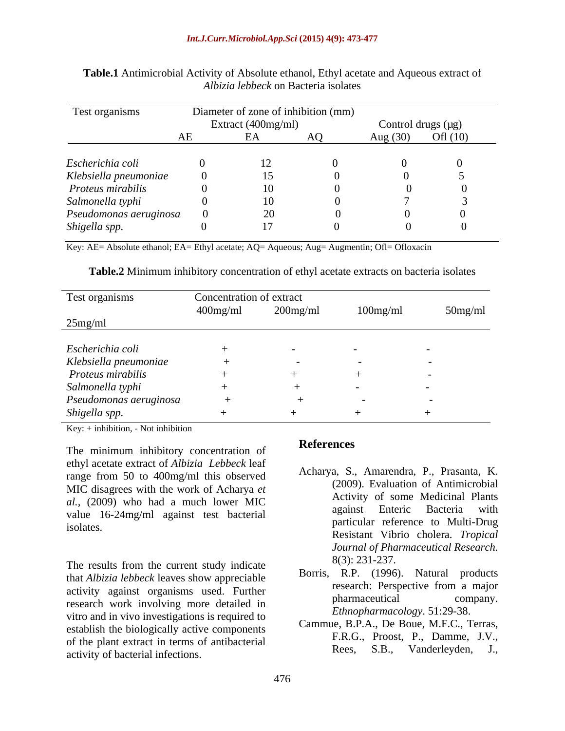| Test organisms         | Diameter of zone of inhibition (mm) |                    |  |                    |            |
|------------------------|-------------------------------------|--------------------|--|--------------------|------------|
|                        |                                     | Extract (400mg/ml) |  | Control drugs (µg) |            |
|                        | ΑE                                  | ட்ட                |  | Aug $(30)$         | Ofl $(10)$ |
|                        |                                     |                    |  |                    |            |
| Escherichia coli       |                                     |                    |  |                    |            |
| Klebsiella pneumoniae  |                                     |                    |  |                    |            |
| Proteus mirabilis      |                                     | 10.                |  |                    |            |
| Salmonella typhi       |                                     |                    |  |                    |            |
| Pseudomonas aeruginosa |                                     |                    |  |                    |            |
| Shigella spp.          |                                     |                    |  |                    |            |

**Table.1** Antimicrobial Activity of Absolute ethanol, Ethyl acetate and Aqueous extract of *Albizia lebbeck* on Bacteria isolates

Key: AE= Absolute ethanol; EA= Ethyl acetate; AQ= Aqueous; Aug= Augmentin; Ofl= Ofloxacin

**Table.2** Minimum inhibitory concentration of ethyl acetate extracts on bacteria isolates

| Test organisms         | Concentration of extract<br>$400$ mg/ml | $200$ mg/ml              | $100$ mg/ml              | $50$ mg/ml               |
|------------------------|-----------------------------------------|--------------------------|--------------------------|--------------------------|
| $25$ mg/ml             |                                         |                          |                          |                          |
| Escherichia coli       |                                         | $\overline{\phantom{a}}$ |                          |                          |
| Klebsiella pneumoniae  |                                         | $\sim$                   | $\overline{\phantom{a}}$ | $\overline{\phantom{a}}$ |
| Proteus mirabilis      |                                         |                          |                          |                          |
| Salmonella typhi       |                                         |                          |                          | $\overline{\phantom{a}}$ |
| Pseudomonas aeruginosa |                                         |                          |                          |                          |
| Shigella spp.          |                                         |                          |                          | $\overline{\phantom{0}}$ |

Key: + inhibition, - Not inhibition

The minimum inhibitory concentration of **References** ethyl acetate extract of *Albizia Lebbeck* leaf range from 50 to 400mg/ml this observed MIC disagrees with the work of Acharya *et al.*, (2009) who had a much lower MIC<br>against Enteric Bacteria with value 16-24mg/ml against test bacterial

The results from the current study indicate  $8(3): 231-237$ . that *Albizia lebbeck* leaves show appreciable activity against organisms used. Further the research: Perspective from a major<br>pharmaceutical company. research work involving more detailed in vitro and in vivo investigations is required to establish the biologically active components of the plant extract in terms of antibacterial<br>Rees, S.B., Vanderleyden, J., activity of bacterial infections.

# **References**

- value to  $\frac{1}{2}$  in  $\frac{1}{2}$  in a set  $\frac{1}{2}$  calcular particular reference to Multi-Drug isolates. Acharya, S., Amarendra, P., Prasanta, K. (2009). Evaluation of Antimicrobial Activity of some Medicinal Plants against Enteric Bacteria with Resistant Vibrio cholera. *Tropical Journal of Pharmaceutical Research.* 8(3): 231-237.
	- Borris, R.P. (1996). Natural products research: Perspective from a major pharmaceutical company. *Ethnopharmacology*. 51:29-38.
	- Cammue, B.P.A., De Boue, M.F.C., Terras, F.R.G., Proost, P., Damme, J.V., Vanderleyden,